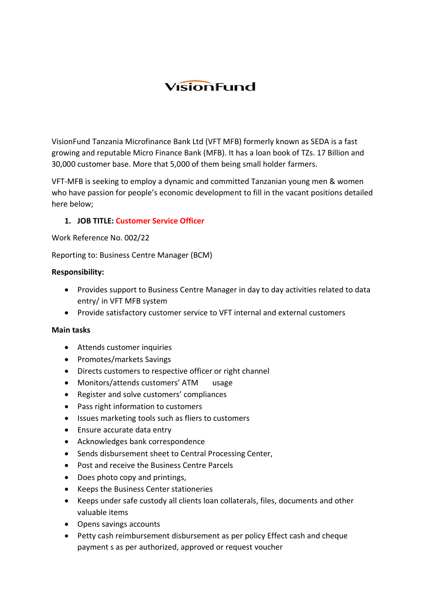# VisionFund

VisionFund Tanzania Microfinance Bank Ltd (VFT MFB) formerly known as SEDA is a fast growing and reputable Micro Finance Bank (MFB). It has a loan book of TZs. 17 Billion and 30,000 customer base. More that 5,000 of them being small holder farmers.

VFT-MFB is seeking to employ a dynamic and committed Tanzanian young men & women who have passion for people's economic development to fill in the vacant positions detailed here below;

# **1. JOB TITLE: Customer Service Officer**

Work Reference No. 002/22

Reporting to: Business Centre Manager (BCM)

#### **Responsibility:**

- Provides support to Business Centre Manager in day to day activities related to data entry/ in VFT MFB system
- Provide satisfactory customer service to VFT internal and external customers

#### **Main tasks**

- Attends customer inquiries
- Promotes/markets Savings
- Directs customers to respective officer or right channel
- Monitors/attends customers' ATM usage
- Register and solve customers' compliances
- Pass right information to customers
- Issues marketing tools such as fliers to customers
- Ensure accurate data entry
- Acknowledges bank correspondence
- Sends disbursement sheet to Central Processing Center,
- Post and receive the Business Centre Parcels
- Does photo copy and printings,
- Keeps the Business Center stationeries
- Keeps under safe custody all clients loan collaterals, files, documents and other valuable items
- Opens savings accounts
- Petty cash reimbursement disbursement as per policy Effect cash and cheque payment s as per authorized, approved or request voucher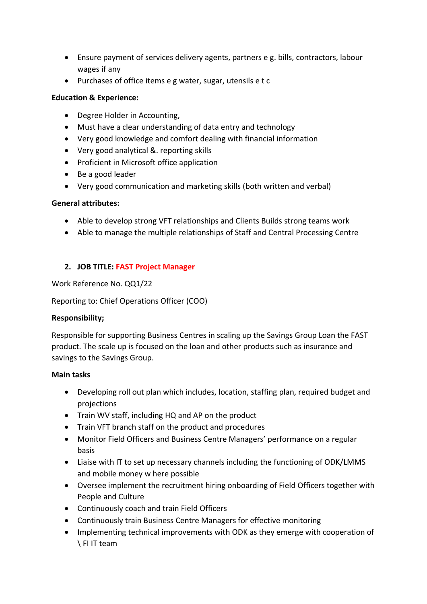- Ensure payment of services delivery agents, partners e g. bills, contractors, labour wages if any
- Purchases of office items e g water, sugar, utensils e t c

# **Education & Experience:**

- Degree Holder in Accounting,
- Must have a clear understanding of data entry and technology
- Very good knowledge and comfort dealing with financial information
- Very good analytical &. reporting skills
- Proficient in Microsoft office application
- Be a good leader
- Very good communication and marketing skills (both written and verbal)

## **General attributes:**

- Able to develop strong VFT relationships and Clients Builds strong teams work
- Able to manage the multiple relationships of Staff and Central Processing Centre

# **2. JOB TITLE: FAST Project Manager**

Work Reference No. QQ1/22

Reporting to: Chief Operations Officer (COO)

# **Responsibility;**

Responsible for supporting Business Centres in scaling up the Savings Group Loan the FAST product. The scale up is focused on the loan and other products such as insurance and savings to the Savings Group.

# **Main tasks**

- Developing roll out plan which includes, location, staffing plan, required budget and projections
- Train WV staff, including HQ and AP on the product
- Train VFT branch staff on the product and procedures
- Monitor Field Officers and Business Centre Managers' performance on a regular basis
- Liaise with IT to set up necessary channels including the functioning of ODK/LMMS and mobile money w here possible
- Oversee implement the recruitment hiring onboarding of Field Officers together with People and Culture
- Continuously coach and train Field Officers
- Continuously train Business Centre Managers for effective monitoring
- Implementing technical improvements with ODK as they emerge with cooperation of \ FI IT team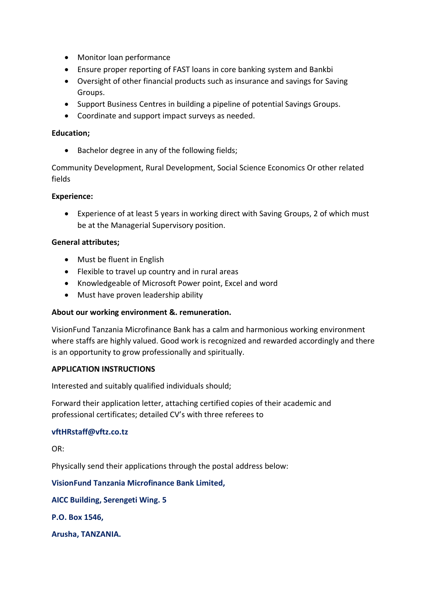- Monitor loan performance
- Ensure proper reporting of FAST loans in core banking system and Bankbi
- Oversight of other financial products such as insurance and savings for Saving Groups.
- Support Business Centres in building a pipeline of potential Savings Groups.
- Coordinate and support impact surveys as needed.

## **Education;**

• Bachelor degree in any of the following fields;

Community Development, Rural Development, Social Science Economics Or other related fields

## **Experience:**

• Experience of at least 5 years in working direct with Saving Groups, 2 of which must be at the Managerial Supervisory position.

## **General attributes;**

- Must be fluent in English
- Flexible to travel up country and in rural areas
- Knowledgeable of Microsoft Power point, Excel and word
- Must have proven leadership ability

# **About our working environment &. remuneration.**

VisionFund Tanzania Microfinance Bank has a calm and harmonious working environment where staffs are highly valued. Good work is recognized and rewarded accordingly and there is an opportunity to grow professionally and spiritually.

#### **APPLICATION INSTRUCTIONS**

Interested and suitably qualified individuals should;

Forward their application letter, attaching certified copies of their academic and professional certificates; detailed CV's with three referees to

#### **vftHRstaff@vftz.co.tz**

OR:

Physically send their applications through the postal address below:

# **VisionFund Tanzania Microfinance Bank Limited,**

**AICC Building, Serengeti Wing. 5**

**P.O. Box 1546,**

**Arusha, TANZANIA.**